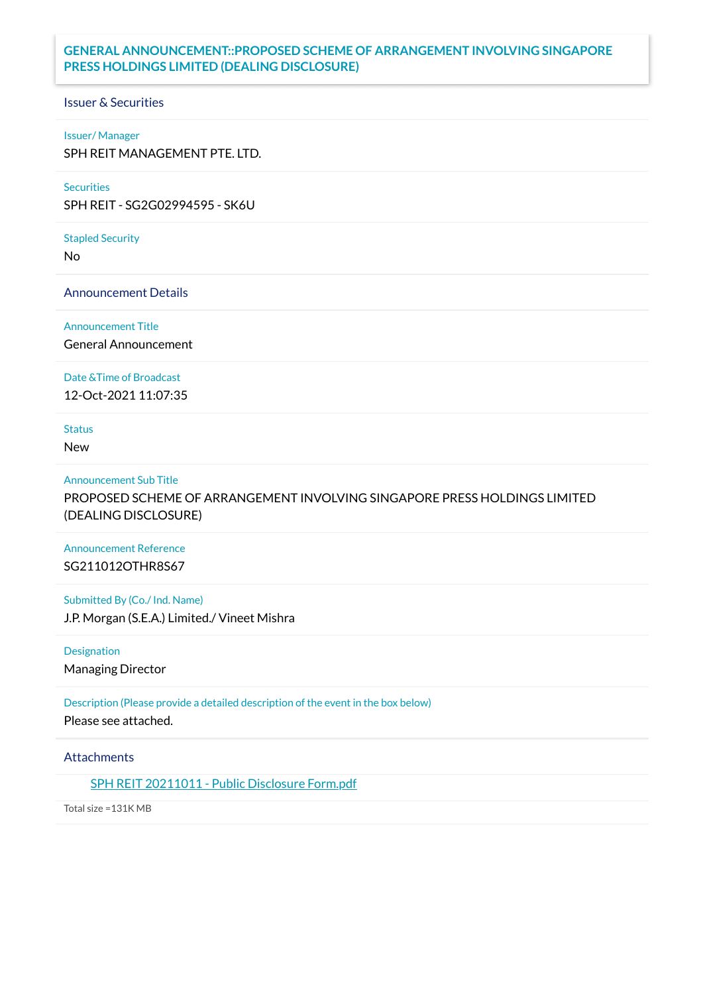## **GENERAL ANNOUNCEMENT::PROPOSED SCHEME OF ARRANGEMENT INVOLVING SINGAPORE PRESS HOLDINGS LIMITED (DEALING DISCLOSURE)**

## Issuer & Securities

### Issuer/ Manager

SPH REIT MANAGEMENT PTE. LTD.

## **Securities**

SPH REIT - SG2G02994595 - SK6U

### Stapled Security

No

Announcement Details

Announcement Title

General Announcement

Date &Time of Broadcast

12-Oct-2021 11:07:35

# Status

New

### Announcement Sub Title

PROPOSED SCHEME OF ARRANGEMENT INVOLVING SINGAPORE PRESS HOLDINGS LIMITED (DEALING DISCLOSURE)

## Announcement Reference SG211012OTHR8S67

Submitted By (Co./ Ind. Name) J.P. Morgan (S.E.A.) Limited./ Vineet Mishra

Designation Managing Director

Description (Please provide a detailed description of the event in the box below) Please see attached.

## **Attachments**

SPH REIT [20211011](https://links.sgx.com/1.0.0/corporate-announcements/DHLFA16E2SGPV3MD/686383_SPH%20REIT%2020211011%20-%20Public%20Disclosure%20Form.pdf) - Public Disclosure Form.pdf

Total size =131K MB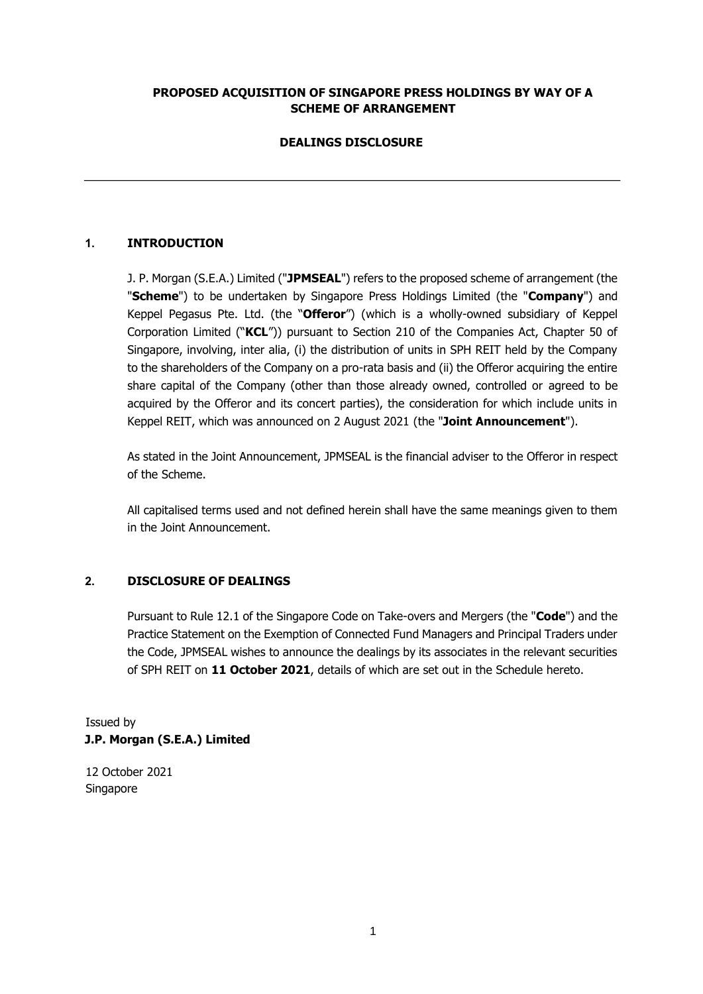## **PROPOSED ACQUISITION OF SINGAPORE PRESS HOLDINGS BY WAY OF A SCHEME OF ARRANGEMENT**

## **DEALINGS DISCLOSURE**

## **1. INTRODUCTION**

J. P. Morgan (S.E.A.) Limited ("**JPMSEAL**") refers to the proposed scheme of arrangement (the "**Scheme**") to be undertaken by Singapore Press Holdings Limited (the "**Company**") and Keppel Pegasus Pte. Ltd. (the "**Offeror**") (which is a wholly-owned subsidiary of Keppel Corporation Limited ("**KCL**")) pursuant to Section 210 of the Companies Act, Chapter 50 of Singapore, involving, inter alia, (i) the distribution of units in SPH REIT held by the Company to the shareholders of the Company on a pro-rata basis and (ii) the Offeror acquiring the entire share capital of the Company (other than those already owned, controlled or agreed to be acquired by the Offeror and its concert parties), the consideration for which include units in Keppel REIT, which was announced on 2 August 2021 (the "**Joint Announcement**").

As stated in the Joint Announcement, JPMSEAL is the financial adviser to the Offeror in respect of the Scheme.

All capitalised terms used and not defined herein shall have the same meanings given to them in the Joint Announcement.

## **2. DISCLOSURE OF DEALINGS**

Pursuant to Rule 12.1 of the Singapore Code on Take-overs and Mergers (the "**Code**") and the Practice Statement on the Exemption of Connected Fund Managers and Principal Traders under the Code, JPMSEAL wishes to announce the dealings by its associates in the relevant securities of SPH REIT on **11 October 2021**, details of which are set out in the Schedule hereto.

Issued by **J.P. Morgan (S.E.A.) Limited** 

12 October 2021 Singapore